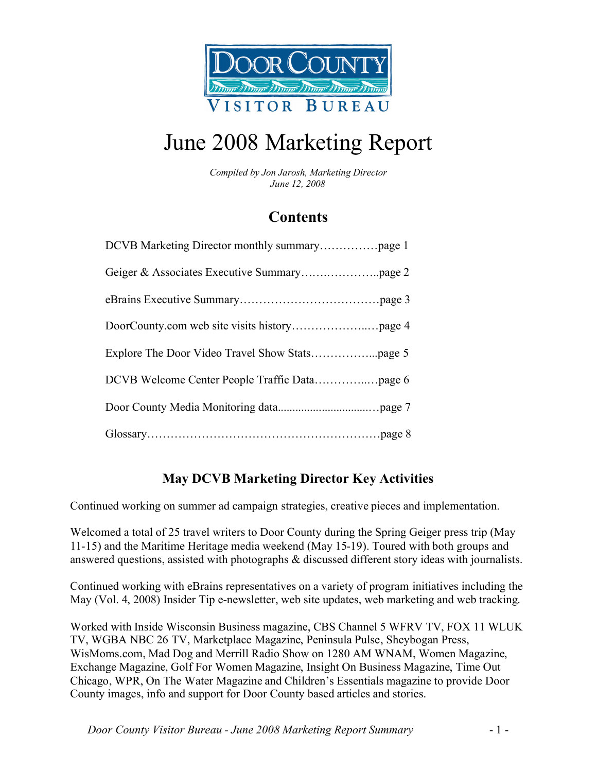

# June 2008 Marketing Report

*Compiled by Jon Jarosh, Marketing Director June 12, 2008*

## **Contents**

### **May DCVB Marketing Director Key Activities**

Continued working on summer ad campaign strategies, creative pieces and implementation.

Welcomed a total of 25 travel writers to Door County during the Spring Geiger press trip (May 11-15) and the Maritime Heritage media weekend (May 15-19). Toured with both groups and answered questions, assisted with photographs & discussed different story ideas with journalists.

Continued working with eBrains representatives on a variety of program initiatives including the May (Vol. 4, 2008) Insider Tip e-newsletter, web site updates, web marketing and web tracking.

Worked with Inside Wisconsin Business magazine, CBS Channel 5 WFRV TV, FOX 11 WLUK TV, WGBA NBC 26 TV, Marketplace Magazine, Peninsula Pulse, Sheybogan Press, WisMoms.com, Mad Dog and Merrill Radio Show on 1280 AM WNAM, Women Magazine, Exchange Magazine, Golf For Women Magazine, Insight On Business Magazine, Time Out Chicago, WPR, On The Water Magazine and Children's Essentials magazine to provide Door County images, info and support for Door County based articles and stories.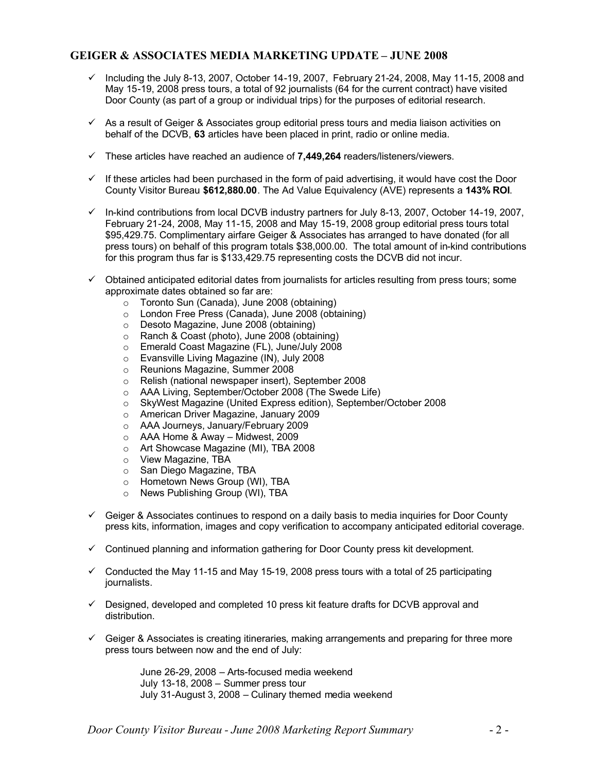### **GEIGER & ASSOCIATES MEDIA MARKETING UPDATE – JUNE 2008**

- $\checkmark$  Including the July 8-13, 2007, October 14-19, 2007, February 21-24, 2008, May 11-15, 2008 and May 15-19, 2008 press tours, a total of 92 journalists (64 for the current contract) have visited Door County (as part of a group or individual trips) for the purposes of editorial research.
- $\checkmark$  As a result of Geiger & Associates group editorial press tours and media liaison activities on behalf of the DCVB, **63** articles have been placed in print, radio or online media.
- ¸ These articles have reached an audience of **7,449,264** readers/listeners/viewers.
- $\checkmark$  If these articles had been purchased in the form of paid advertising, it would have cost the Door County Visitor Bureau **\$612,880.00**. The Ad Value Equivalency (AVE) represents a **143% ROI**.
- $\checkmark$  In-kind contributions from local DCVB industry partners for July 8-13, 2007, October 14-19, 2007, February 21-24, 2008, May 11-15, 2008 and May 15-19, 2008 group editorial press tours total \$95,429.75. Complimentary airfare Geiger & Associates has arranged to have donated (for all press tours) on behalf of this program totals \$38,000.00. The total amount of in-kind contributions for this program thus far is \$133,429.75 representing costs the DCVB did not incur.
- $\checkmark$  Obtained anticipated editorial dates from journalists for articles resulting from press tours; some approximate dates obtained so far are:
	- o Toronto Sun (Canada), June 2008 (obtaining)
	- London Free Press (Canada), June 2008 (obtaining)
	- o Desoto Magazine, June 2008 (obtaining)
	- o Ranch & Coast (photo), June 2008 (obtaining)
	- o Emerald Coast Magazine (FL), June/July 2008
	- o Evansville Living Magazine (IN), July 2008
	- o Reunions Magazine, Summer 2008<br>○ Relish (national newspaper insert). 9
	- Relish (national newspaper insert), September 2008
	- o AAA Living, September/October 2008 (The Swede Life)
	- o SkyWest Magazine (United Express edition), September/October 2008
	- o American Driver Magazine, January 2009
	- o AAA Journeys, January/February 2009
	- $\circ$  AAA Home & Away Midwest, 2009
	- o Art Showcase Magazine (MI), TBA 2008
	- o View Magazine, TBA
	- o San Diego Magazine, TBA
	- o Hometown News Group (WI), TBA
	- o News Publishing Group (WI), TBA
- $\checkmark$  Geiger & Associates continues to respond on a daily basis to media inquiries for Door County press kits, information, images and copy verification to accompany anticipated editorial coverage.
- $\checkmark$  Continued planning and information gathering for Door County press kit development.
- $\checkmark$  Conducted the May 11-15 and May 15-19, 2008 press tours with a total of 25 participating journalists.
- $\checkmark$  Designed, developed and completed 10 press kit feature drafts for DCVB approval and distribution.
- $\checkmark$  Geiger & Associates is creating itineraries, making arrangements and preparing for three more press tours between now and the end of July:

June 26-29, 2008 – Arts-focused media weekend July 13-18, 2008 – Summer press tour July 31-August 3, 2008 – Culinary themed media weekend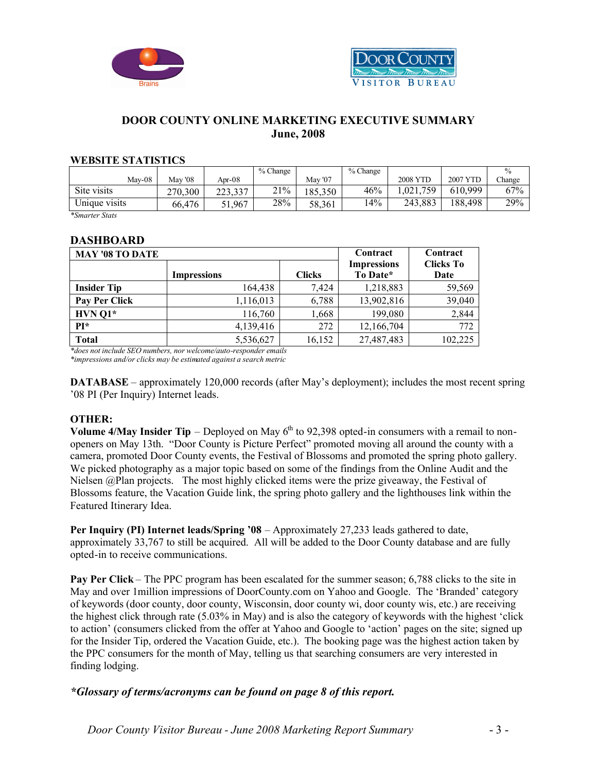



### **DOOR COUNTY ONLINE MARKETING EXECUTIVE SUMMARY June, 2008**

#### **WEBSITE STATISTICS**

|               |         |         | $%$ Change |         | $%$ Change |                 |          |        |
|---------------|---------|---------|------------|---------|------------|-----------------|----------|--------|
| Mav-08        | May '08 | Apr-08  |            | May '07 |            | <b>2008 YTD</b> | 2007 YTD | Change |
| Site visits   | 270,300 | 223,337 | 21%        | 185,350 | 46%        | .021.<br>.759   | 610.999  | 67%    |
| Unique visits | 66.476  | 51,967  | 28%        | 58,361  | 14%        | 243,883         | 188.498  | 29%    |

*\*Smarter Stats*

### **DASHBOARD**

| <b>MAY '08 TO DATE</b> | Contract           | Contract      |                                |                          |
|------------------------|--------------------|---------------|--------------------------------|--------------------------|
|                        | <b>Impressions</b> | <b>Clicks</b> | <b>Impressions</b><br>To Date* | <b>Clicks To</b><br>Date |
| <b>Insider Tip</b>     | 164,438            | 7,424         | 1,218,883                      | 59,569                   |
| Pay Per Click          | 1,116,013          | 6,788         | 13,902,816                     | 39,040                   |
| $HVN$ Q1*              | 116,760            | 1,668         | 199,080                        | 2,844                    |
| $PI*$                  | 4,139,416          | 272           | 12,166,704                     | 772                      |
| <b>Total</b>           | 5,536,627          | 16,152        | 27,487,483                     | 102,225                  |

*\*does not include SEO numbers, nor welcome/auto-responder emails \*impressions and/or clicks may be estimated against a search metric*

**DATABASE** – approximately 120,000 records (after May's deployment); includes the most recent spring '08 PI (Per Inquiry) Internet leads.

### **OTHER:**

**Volume 4/May Insider Tip** – Deployed on May  $6<sup>th</sup>$  to 92,398 opted-in consumers with a remail to nonopeners on May 13th. "Door County is Picture Perfect" promoted moving all around the county with a camera, promoted Door County events, the Festival of Blossoms and promoted the spring photo gallery. We picked photography as a major topic based on some of the findings from the Online Audit and the Nielsen @Plan projects. The most highly clicked items were the prize giveaway, the Festival of Blossoms feature, the Vacation Guide link, the spring photo gallery and the lighthouses link within the Featured Itinerary Idea.

**Per Inquiry (PI) Internet leads/Spring '08** – Approximately 27,233 leads gathered to date, approximately 33,767 to still be acquired. All will be added to the Door County database and are fully opted-in to receive communications.

**Pay Per Click** – The PPC program has been escalated for the summer season; 6,788 clicks to the site in May and over 1million impressions of DoorCounty.com on Yahoo and Google. The 'Branded' category of keywords (door county, door county, Wisconsin, door county wi, door county wis, etc.) are receiving the highest click through rate (5.03% in May) and is also the category of keywords with the highest 'click to action' (consumers clicked from the offer at Yahoo and Google to 'action' pages on the site; signed up for the Insider Tip, ordered the Vacation Guide, etc.). The booking page was the highest action taken by the PPC consumers for the month of May, telling us that searching consumers are very interested in finding lodging.

### *\*Glossary of terms/acronyms can be found on page 8 of this report.*

*Door County Visitor Bureau - June 2008 Marketing Report Summary* - 3 -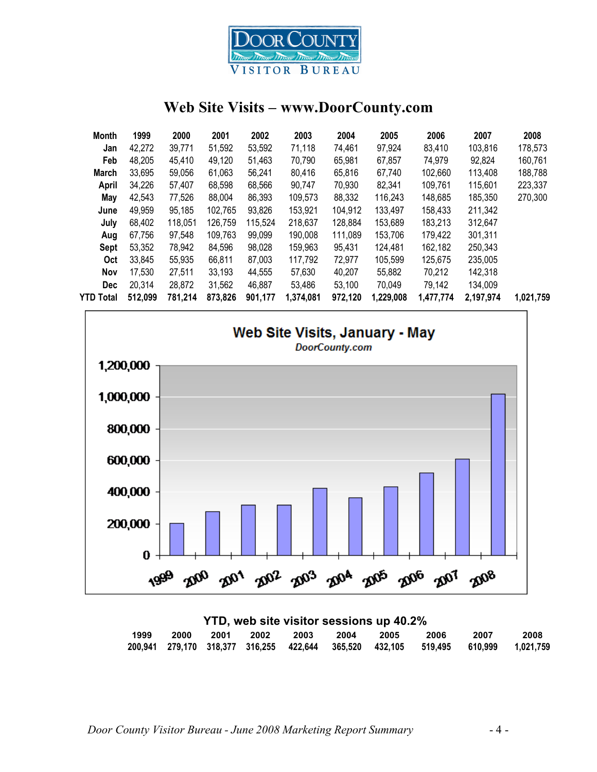

### **Web Site Visits – www.DoorCounty.com**

| Month        | 1999    | 2000    | 2001    | 2002    | 2003      | 2004    | 2005      | 2006      | 2007      | 2008      |
|--------------|---------|---------|---------|---------|-----------|---------|-----------|-----------|-----------|-----------|
| Jan          | 42,272  | 39,771  | 51,592  | 53,592  | 71,118    | 74,461  | 97,924    | 83,410    | 103,816   | 178,573   |
| Feb          | 48,205  | 45,410  | 49,120  | 51,463  | 70,790    | 65,981  | 67,857    | 74,979    | 92,824    | 160,761   |
| <b>March</b> | 33,695  | 59,056  | 61,063  | 56,241  | 80,416    | 65,816  | 67,740    | 102,660   | 113,408   | 188,788   |
| April        | 34,226  | 57,407  | 68,598  | 68,566  | 90.747    | 70,930  | 82,341    | 109,761   | 115,601   | 223,337   |
| May          | 42,543  | 77,526  | 88,004  | 86,393  | 109,573   | 88,332  | 116,243   | 148,685   | 185,350   | 270,300   |
| June         | 49,959  | 95,185  | 102,765 | 93,826  | 153,921   | 104,912 | 133,497   | 158,433   | 211,342   |           |
| July         | 68,402  | 118,051 | 126,759 | 115,524 | 218,637   | 128,884 | 153,689   | 183,213   | 312,647   |           |
| Aug          | 67,756  | 97,548  | 109,763 | 99,099  | 190,008   | 111,089 | 153,706   | 179,422   | 301,311   |           |
| Sept         | 53,352  | 78,942  | 84.596  | 98,028  | 159,963   | 95,431  | 124.481   | 162,182   | 250,343   |           |
| <b>Oct</b>   | 33,845  | 55,935  | 66,811  | 87,003  | 117,792   | 72,977  | 105,599   | 125,675   | 235,005   |           |
| <b>Nov</b>   | 17,530  | 27,511  | 33,193  | 44,555  | 57,630    | 40.207  | 55,882    | 70,212    | 142,318   |           |
| <b>Dec</b>   | 20,314  | 28,872  | 31,562  | 46,887  | 53,486    | 53,100  | 70,049    | 79,142    | 134,009   |           |
| YTD Total    | 512,099 | 781,214 | 873,826 | 901,177 | 1,374,081 | 972,120 | 1,229,008 | 1,477,774 | 2,197,974 | 1,021,759 |
|              |         |         |         |         |           |         |           |           |           |           |



| YTD, web site visitor sessions up 40.2% |      |  |  |  |  |                          |      |                                                                                   |      |
|-----------------------------------------|------|--|--|--|--|--------------------------|------|-----------------------------------------------------------------------------------|------|
| 1999                                    | 2000 |  |  |  |  | 2001 2002 2003 2004 2005 | 2006 | 2007                                                                              | 2008 |
|                                         |      |  |  |  |  |                          |      | 200,941 279,170 318,377 316,255 422,644 365,520 432,105 519,495 610,999 1,021,759 |      |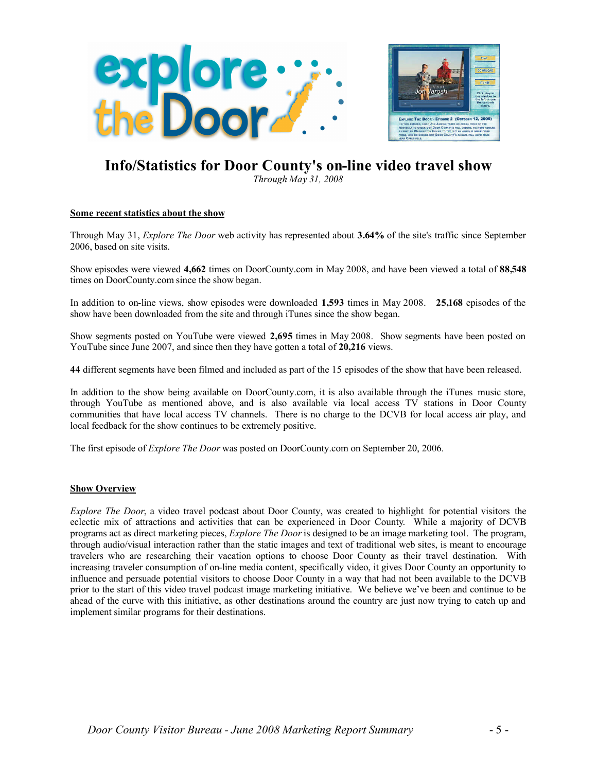

## **Info/Statistics for Door County's on-line video travel show**

*Through May 31, 2008*

#### **Some recent statistics about the show**

Through May 31, *Explore The Door* web activity has represented about **3.64%** of the site's traffic since September 2006, based on site visits.

Show episodes were viewed **4,662** times on DoorCounty.com in May 2008, and have been viewed a total of **88,548** times on DoorCounty.com since the show began.

In addition to on-line views, show episodes were downloaded **1,593** times in May 2008. **25,168** episodes of the show have been downloaded from the site and through iTunes since the show began.

Show segments posted on YouTube were viewed **2,695** times in May 2008. Show segments have been posted on YouTube since June 2007, and since then they have gotten a total of **20,216** views.

**44** different segments have been filmed and included as part of the 15 episodes of the show that have been released.

In addition to the show being available on DoorCounty.com, it is also available through the iTunes music store, through YouTube as mentioned above, and is also available via local access TV stations in Door County communities that have local access TV channels. There is no charge to the DCVB for local access air play, and local feedback for the show continues to be extremely positive.

The first episode of *Explore The Door* was posted on DoorCounty.com on September 20, 2006.

#### **Show Overview**

*Explore The Door*, a video travel podcast about Door County, was created to highlight for potential visitors the eclectic mix of attractions and activities that can be experienced in Door County. While a majority of DCVB programs act as direct marketing pieces, *Explore The Door* is designed to be an image marketing tool. The program, through audio/visual interaction rather than the static images and text of traditional web sites, is meant to encourage travelers who are researching their vacation options to choose Door County as their travel destination. With increasing traveler consumption of on-line media content, specifically video, it gives Door County an opportunity to influence and persuade potential visitors to choose Door County in a way that had not been available to the DCVB prior to the start of this video travel podcast image marketing initiative. We believe we've been and continue to be ahead of the curve with this initiative, as other destinations around the country are just now trying to catch up and implement similar programs for their destinations.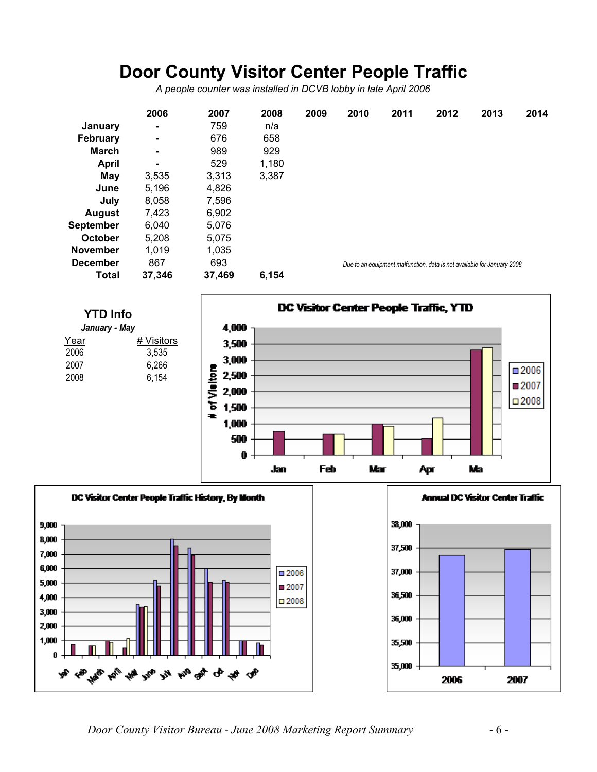## **Door County Visitor Center People Traffic**

*A people counter was installed in DCVB lobby in late April 2006*

|                  | 2006   | 2007   | 2008  | 2009 | 2010 | 2011 | 2012 | 2013                                                                    | 2014 |
|------------------|--------|--------|-------|------|------|------|------|-------------------------------------------------------------------------|------|
| January          | ۰      | 759    | n/a   |      |      |      |      |                                                                         |      |
| February         | ۰      | 676    | 658   |      |      |      |      |                                                                         |      |
| <b>March</b>     | ۰      | 989    | 929   |      |      |      |      |                                                                         |      |
| <b>April</b>     | ۰      | 529    | 1,180 |      |      |      |      |                                                                         |      |
| May              | 3,535  | 3,313  | 3,387 |      |      |      |      |                                                                         |      |
| June             | 5,196  | 4,826  |       |      |      |      |      |                                                                         |      |
| July             | 8,058  | 7,596  |       |      |      |      |      |                                                                         |      |
| <b>August</b>    | 7,423  | 6,902  |       |      |      |      |      |                                                                         |      |
| <b>September</b> | 6,040  | 5,076  |       |      |      |      |      |                                                                         |      |
| October          | 5,208  | 5,075  |       |      |      |      |      |                                                                         |      |
| <b>November</b>  | 1,019  | 1,035  |       |      |      |      |      |                                                                         |      |
| <b>December</b>  | 867    | 693    |       |      |      |      |      | Due to an equipment malfunction, data is not available for January 2008 |      |
| <b>Total</b>     | 37,346 | 37,469 | 6,154 |      |      |      |      |                                                                         |      |





*Door County Visitor Bureau - June 2008 Marketing Report Summary* - 6 -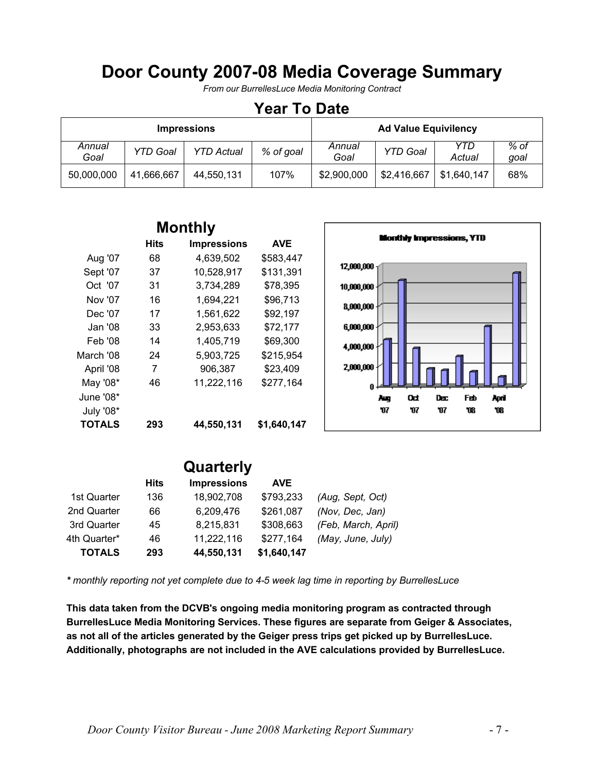## **Door County 2007-08 Media Coverage Summary**

*From our BurrellesLuce Media Monitoring Contract*

### **Year To Date**

|                |                 | <b>Impressions</b> |           | <b>Ad Value Equivilency</b> |                 |               |              |
|----------------|-----------------|--------------------|-----------|-----------------------------|-----------------|---------------|--------------|
| Annual<br>Goal | <b>YTD Goal</b> | <b>YTD Actual</b>  | % of goal | Annual<br>Goal              | <b>YTD Goal</b> | YTD<br>Actual | % of<br>goal |
| 50,000,000     | 41,666,667      | 44,550,131         | 107%      | \$2,900,000                 | \$2,416,667     | \$1,640,147   | 68%          |

| <b>Monthly</b> |      |                    |             |  |  |  |  |
|----------------|------|--------------------|-------------|--|--|--|--|
|                | Hits | <b>Impressions</b> | <b>AVE</b>  |  |  |  |  |
| Aug '07        | 68   | 4,639,502          | \$583,447   |  |  |  |  |
| Sept '07       | 37   | 10,528,917         | \$131,391   |  |  |  |  |
| Oct '07        | 31   | 3,734,289          | \$78,395    |  |  |  |  |
| Nov '07        | 16   | 1,694,221          | \$96,713    |  |  |  |  |
| Dec '07        | 17   | 1,561,622          | \$92,197    |  |  |  |  |
| Jan '08        | 33   | 2,953,633          | \$72,177    |  |  |  |  |
| Feb '08        | 14   | 1,405,719          | \$69,300    |  |  |  |  |
| March '08      | 24   | 5,903,725          | \$215,954   |  |  |  |  |
| April '08      | 7    | 906,387            | \$23,409    |  |  |  |  |
| May '08*       | 46   | 11,222,116         | \$277,164   |  |  |  |  |
| June '08*      |      |                    |             |  |  |  |  |
| July '08*      |      |                    |             |  |  |  |  |
| <b>TOTALS</b>  | 293  | 44,550,131         | \$1,640,147 |  |  |  |  |



|              |             | Quarterly          |             |                     |
|--------------|-------------|--------------------|-------------|---------------------|
|              | <b>Hits</b> | <b>Impressions</b> | <b>AVE</b>  |                     |
| 1st Quarter  | 136         | 18,902,708         | \$793,233   | (Aug, Sept, Oct)    |
| 2nd Quarter  | 66          | 6,209,476          | \$261,087   | (Nov, Dec, Jan)     |
| 3rd Quarter  | 45          | 8,215,831          | \$308,663   | (Feb, March, April) |
| 4th Quarter* | 46          | 11,222,116         | \$277,164   | (May, June, July)   |
| TOTALS       | 293         | 44,550,131         | \$1,640,147 |                     |

*\* monthly reporting not yet complete due to 4-5 week lag time in reporting by BurrellesLuce*

**This data taken from the DCVB's ongoing media monitoring program as contracted through BurrellesLuce Media Monitoring Services. These figures are separate from Geiger & Associates, as not all of the articles generated by the Geiger press trips get picked up by BurrellesLuce. Additionally, photographs are not included in the AVE calculations provided by BurrellesLuce.**